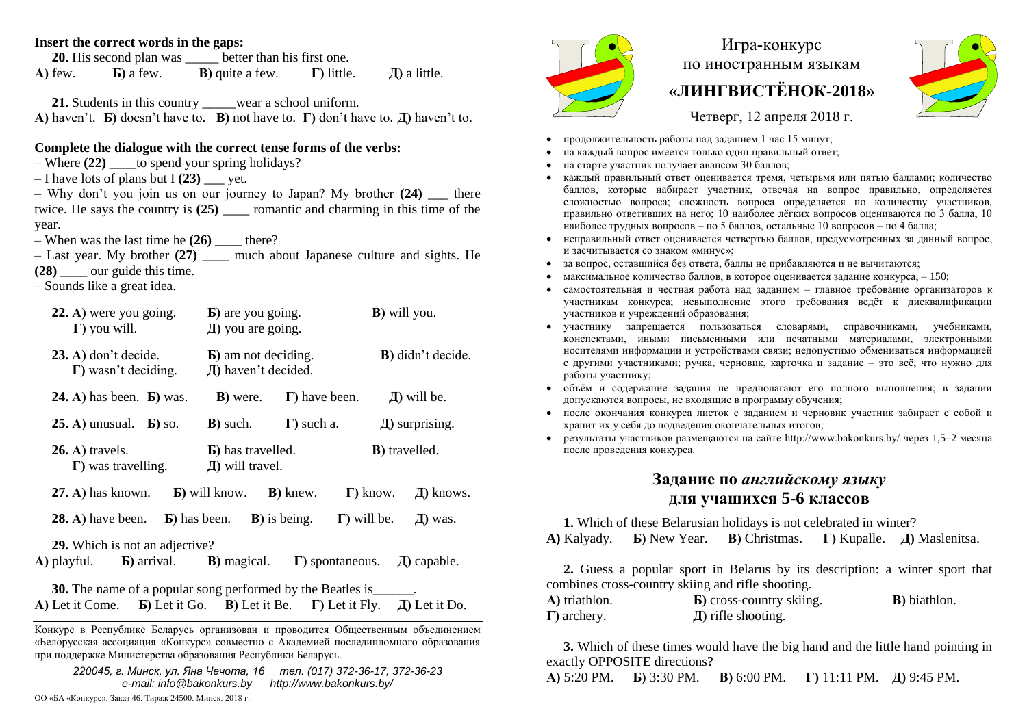### **Insert the correct words in the gaps:**

**20.** His second plan was better than his first one. **А)** few. **Б)** a few. **В)** quite a few. **Г)** little. **Д)** a little.

**21.** Students in this country \_\_\_\_\_wear a school uniform. **А)** haven't. **Б)** doesn't have to. **В)** not have to. **Г)** don't have to. **Д)** haven't to.

### **Complete the dialogue with the correct tense forms of the verbs:**

- $-$  Where  $(22)$  to spend your spring holidays?
- $-I$  have lots of plans but I (23) vet.
- $-$  Why don't you join us on our journey to Japan? My brother  $(24)$  there twice. He says the country is **(25)** \_\_\_\_ romantic and charming in this time of the year.
- $-$  When was the last time he  $(26)$  there?
- Last year. My brother **(27)** \_\_\_\_ much about Japanese culture and sights. He
- **(28)** \_\_\_\_ our guide this time.
- Sounds like a great idea.

| 22. A) were you going.<br>$\Gamma$ ) you will.                                                | <b>b</b> ) are you going.<br>Д) you are going.     |                         | <b>B</b> ) will you.  |                     |
|-----------------------------------------------------------------------------------------------|----------------------------------------------------|-------------------------|-----------------------|---------------------|
| $(23. A)$ don't decide.<br>$\Gamma$ ) wasn't deciding.                                        | <b>b</b> ) am not deciding.<br>Д) haven't decided. |                         |                       | B) didn't decide.   |
| $24. A)$ has been. <b>b</b> ) was.                                                            | <b>B</b> ) were.                                   | $\Gamma$ ) have been.   |                       | $\pi$ ) will be.    |
| $25. A)$ unusual. $\overline{b}$ so.                                                          | <b>B</b> ) such.                                   | $\Gamma$ ) such a.      |                       | $\pi$ ) surprising. |
| $26.$ A) travels.<br>$\Gamma$ ) was travelling.                                               | <b>b</b> ) has travelled.<br>$\pi$ ) will travel.  |                         | <b>B</b> ) travelled. |                     |
| $(27. A)$ has known.                                                                          | <b>b</b> ) will know. <b>B</b> ) knew.             |                         | $\Gamma$ ) know.      | Д) knows.           |
| <b>28. A)</b> have been.                                                                      | <b>b</b> ) has been. <b>B</b> ) is being.          |                         | $\Gamma$ ) will be.   | Д) was.             |
| 29. Which is not an adjective?<br>$\bf{A}$ ) playful. $\bf{B}$ ) arrival. $\bf{B}$ ) magical. |                                                    | $\Gamma$ ) spontaneous. |                       | $\mu$ ) capable.    |
| <b>30.</b> The name of a popular song performed by the Beatles is                             |                                                    |                         |                       |                     |

**А)** Let it Come. **Б)** Let it Go. **В)** Let it Be. **Г)** Let it Fly. **Д)** Let it Do.

Конкурс в Республике Беларусь организован и проводится Общественным объединением «Белорусская ассоциация «Конкурс» совместно с Академией последипломного образования при поддержке Министерства образования Республики Беларусь.

*220045, г. Минск, ул. Яна Чечота, 16 тел. (017) 372-36-17, 372-36-23 e-mail: info@bakonkurs.by http://www.bakonkurs.by/*



# Игра-конкурс по иностранным языкам **«ЛИНГВИСТЁНОК-2018»**



Четверг, 12 апреля 2018 г.

- продолжительность работы над заданием 1 час 15 минут;
- на каждый вопрос имеется только один правильный ответ;
- на старте участник получает авансом 30 баллов;
- каждый правильный ответ оценивается тремя, четырьмя или пятью баллами; количество баллов, которые набирает участник, отвечая на вопрос правильно, определяется сложностью вопроса; сложность вопроса определяется по количеству участников, правильно ответивших на него; 10 наиболее лёгких вопросов оцениваются по 3 балла, 10 наиболее трудных вопросов – по 5 баллов, остальные 10 вопросов – по 4 балла;
- неправильный ответ оценивается четвертью баллов, предусмотренных за данный вопрос, и засчитывается со знаком «минус»;
- за вопрос, оставшийся без ответа, баллы не прибавляются и не вычитаются;
- максимальное количество баллов, в которое оценивается задание конкурса, 150;
- самостоятельная и честная работа над заданием главное требование организаторов к участникам конкурса; невыполнение этого требования ведёт к дисквалификации участников и учреждений образования;
- участнику запрещается пользоваться словарями, справочниками, учебниками, конспектами, иными письменными или печатными материалами, электронными носителями информации и устройствами связи; недопустимо обмениваться информацией с другими участниками; ручка, черновик, карточка и задание – это всё, что нужно для работы участнику;
- объём и содержание задания не предполагают его полного выполнения; в задании допускаются вопросы, не входящие в программу обучения;
- после окончания конкурса листок с заданием и черновик участник забирает с собой и хранит их у себя до подведения окончательных итогов;
- результаты участников размещаются на сайте http://www.bakonkurs.by/ через 1,5–2 месяца после проведения конкурса.

## **Задание по** *английскому языку*  **для учащихся 5-6 классов**

**1.** Which of these Belarusian holidays is not celebrated in winter? **A)** Kalyady. **Б)** New Year. **В)** Christmas. **Г)** Kupalle. **Д)** Maslenitsa.

**2.** Guess a popular sport in Belarus by its description: a winter sport that combines cross-country skiing and rifle shooting.

| A) triathlon.       | <b>b</b> ) cross-country skiing. | <b>B</b> ) biathlon. |
|---------------------|----------------------------------|----------------------|
| $\Gamma$ ) archery. | $\pi$ ) rifle shooting.          |                      |

**3.** Which of these times would have the big hand and the little hand pointing in exactly OPPOSITE directions?

**А)** 5:20 PM. **Б)** 3:30 PM. **В)** 6:00 PM. **Г)** 11:11 PM. **Д)** 9:45 PM.